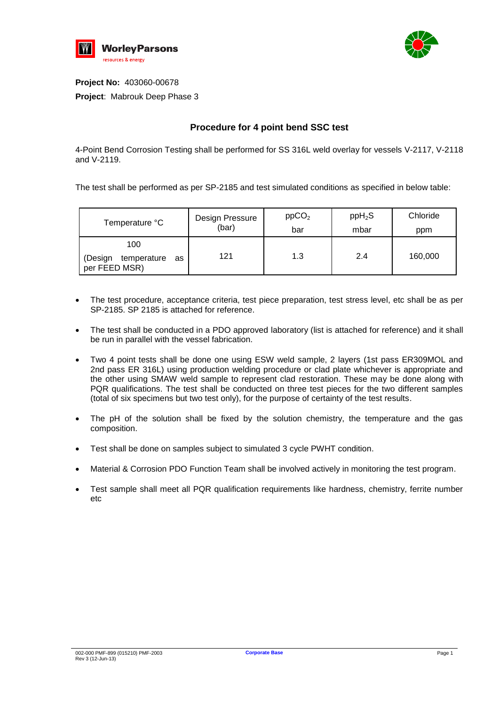



**Project No:** 403060-00678 **Project**: Mabrouk Deep Phase 3

## **Procedure for 4 point bend SSC test**

4-Point Bend Corrosion Testing shall be performed for SS 316L weld overlay for vessels V-2117, V-2118 and V-2119.

The test shall be performed as per SP-2185 and test simulated conditions as specified in below table:

| Temperature °C                                       | Design Pressure | ppCO <sub>2</sub> | $ppH_2S$ | Chloride |
|------------------------------------------------------|-----------------|-------------------|----------|----------|
|                                                      | (bar)           | bar               | mbar     | ppm      |
| 100<br>(Design<br>temperature<br>as<br>per FEED MSR) | 121             | 1.3               | 2.4      | 160,000  |

- The test procedure, acceptance criteria, test piece preparation, test stress level, etc shall be as per SP-2185. SP 2185 is attached for reference.
- The test shall be conducted in a PDO approved laboratory (list is attached for reference) and it shall be run in parallel with the vessel fabrication.
- Two 4 point tests shall be done one using ESW weld sample, 2 layers (1st pass ER309MOL and 2nd pass ER 316L) using production welding procedure or clad plate whichever is appropriate and the other using SMAW weld sample to represent clad restoration. These may be done along with PQR qualifications. The test shall be conducted on three test pieces for the two different samples (total of six specimens but two test only), for the purpose of certainty of the test results.
- The pH of the solution shall be fixed by the solution chemistry, the temperature and the gas composition.
- Test shall be done on samples subject to simulated 3 cycle PWHT condition.
- Material & Corrosion PDO Function Team shall be involved actively in monitoring the test program.
- Test sample shall meet all PQR qualification requirements like hardness, chemistry, ferrite number etc